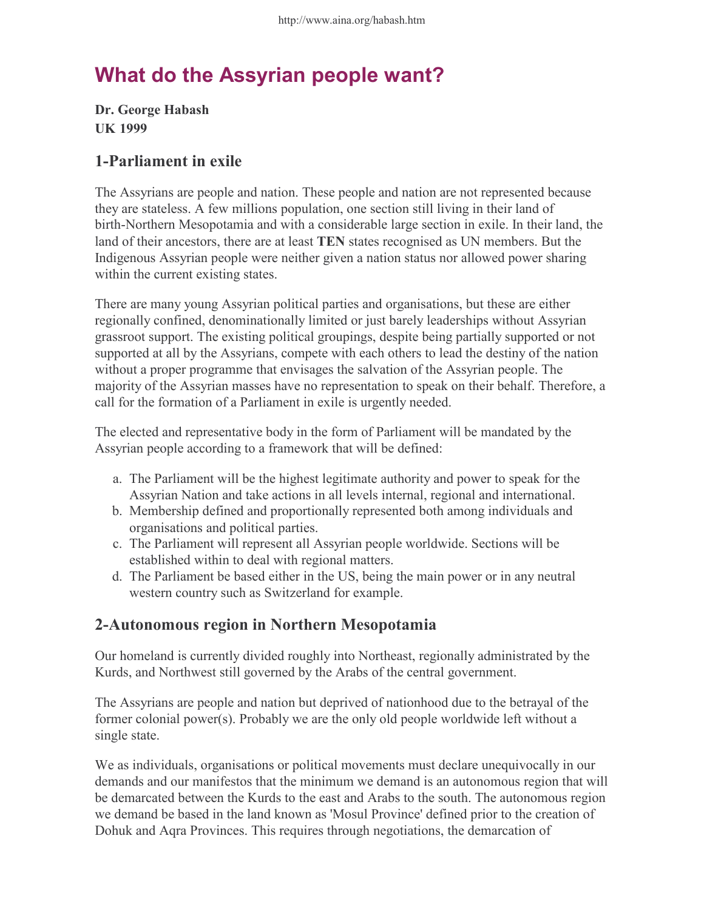# What do the Assyrian people want?

Dr. George Habash UK 1999

### 1-Parliament in exile

The Assyrians are people and nation. These people and nation are not represented because they are stateless. A few millions population, one section still living in their land of birth-Northern Mesopotamia and with a considerable large section in exile. In their land, the land of their ancestors, there are at least TEN states recognised as UN members. But the Indigenous Assyrian people were neither given a nation status nor allowed power sharing within the current existing states.

There are many young Assyrian political parties and organisations, but these are either regionally confined, denominationally limited or just barely leaderships without Assyrian grassroot support. The existing political groupings, despite being partially supported or not supported at all by the Assyrians, compete with each others to lead the destiny of the nation without a proper programme that envisages the salvation of the Assyrian people. The majority of the Assyrian masses have no representation to speak on their behalf. Therefore, a call for the formation of a Parliament in exile is urgently needed.

The elected and representative body in the form of Parliament will be mandated by the Assyrian people according to a framework that will be defined:

- The Parliament will be the highest legitimate authority and power to speak for the a. Assyrian Nation and take actions in all levels internal, regional and international.
- b. Membership defined and proportionally represented both among individuals and organisations and political parties.
- The Parliament will represent all Assyrian people worldwide. Sections will be c. established within to deal with regional matters.
- The Parliament be based either in the US, being the main power or in any neutral d. western country such as Switzerland for example.

## 2-Autonomous region in Northern Mesopotamia

Our homeland is currently divided roughly into Northeast, regionally administrated by the Kurds, and Northwest still governed by the Arabs of the central government.

The Assyrians are people and nation but deprived of nationhood due to the betrayal of the former colonial power(s). Probably we are the only old people worldwide left without a single state.

We as individuals, organisations or political movements must declare unequivocally in our demands and our manifestos that the minimum we demand is an autonomous region that will be demarcated between the Kurds to the east and Arabs to the south. The autonomous region we demand be based in the land known as 'Mosul Province' defined prior to the creation of Dohuk and Aqra Provinces. This requires through negotiations, the demarcation of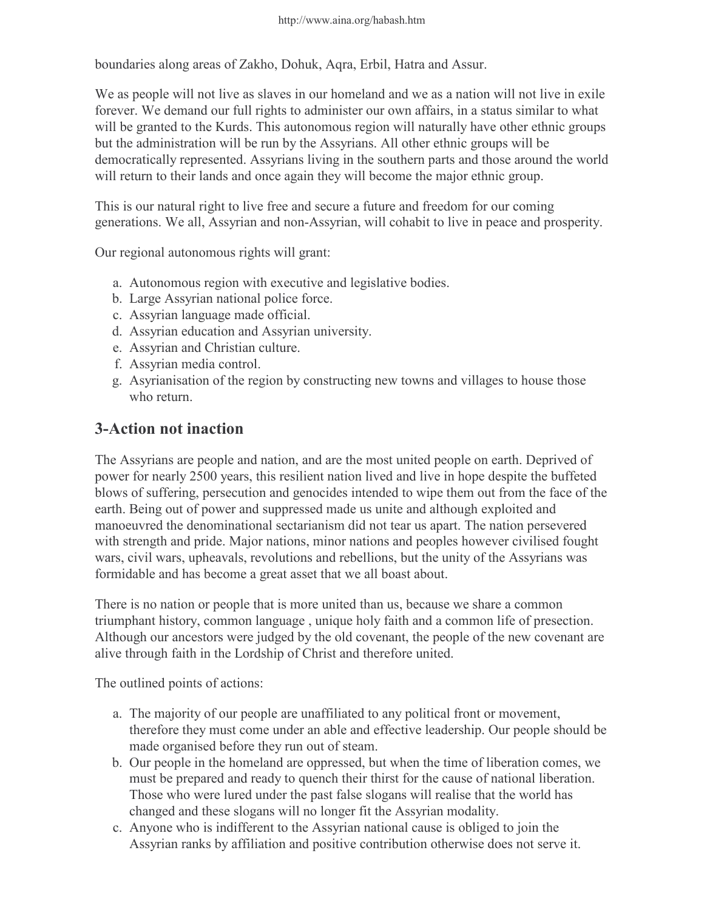boundaries along areas of Zakho, Dohuk, Aqra, Erbil, Hatra and Assur.

We as people will not live as slaves in our homeland and we as a nation will not live in exile forever. We demand our full rights to administer our own affairs, in a status similar to what will be granted to the Kurds. This autonomous region will naturally have other ethnic groups but the administration will be run by the Assyrians. All other ethnic groups will be democratically represented. Assyrians living in the southern parts and those around the world will return to their lands and once again they will become the major ethnic group.

This is our natural right to live free and secure a future and freedom for our coming generations. We all, Assyrian and non-Assyrian, will cohabit to live in peace and prosperity.

Our regional autonomous rights will grant:

- a. Autonomous region with executive and legislative bodies.
- b. Large Assyrian national police force.
- c. Assyrian language made official.
- d. Assyrian education and Assyrian university.
- e. Assyrian and Christian culture.
- f. Assyrian media control.
- Asyrianisation of the region by constructing new towns and villages to house those g. who return.

#### 3-Action not inaction

The Assyrians are people and nation, and are the most united people on earth. Deprived of power for nearly 2500 years, this resilient nation lived and live in hope despite the buffeted blows of suffering, persecution and genocides intended to wipe them out from the face of the earth. Being out of power and suppressed made us unite and although exploited and manoeuvred the denominational sectarianism did not tear us apart. The nation persevered with strength and pride. Major nations, minor nations and peoples however civilised fought wars, civil wars, upheavals, revolutions and rebellions, but the unity of the Assyrians was formidable and has become a great asset that we all boast about.

There is no nation or people that is more united than us, because we share a common triumphant history, common language , unique holy faith and a common life of presection. Although our ancestors were judged by the old covenant, the people of the new covenant are alive through faith in the Lordship of Christ and therefore united.

The outlined points of actions:

- The majority of our people are unaffiliated to any political front or movement, a. therefore they must come under an able and effective leadership. Our people should be made organised before they run out of steam.
- b. Our people in the homeland are oppressed, but when the time of liberation comes, we must be prepared and ready to quench their thirst for the cause of national liberation. Those who were lured under the past false slogans will realise that the world has changed and these slogans will no longer fit the Assyrian modality.
- Anyone who is indifferent to the Assyrian national cause is obliged to join the c.Assyrian ranks by affiliation and positive contribution otherwise does not serve it.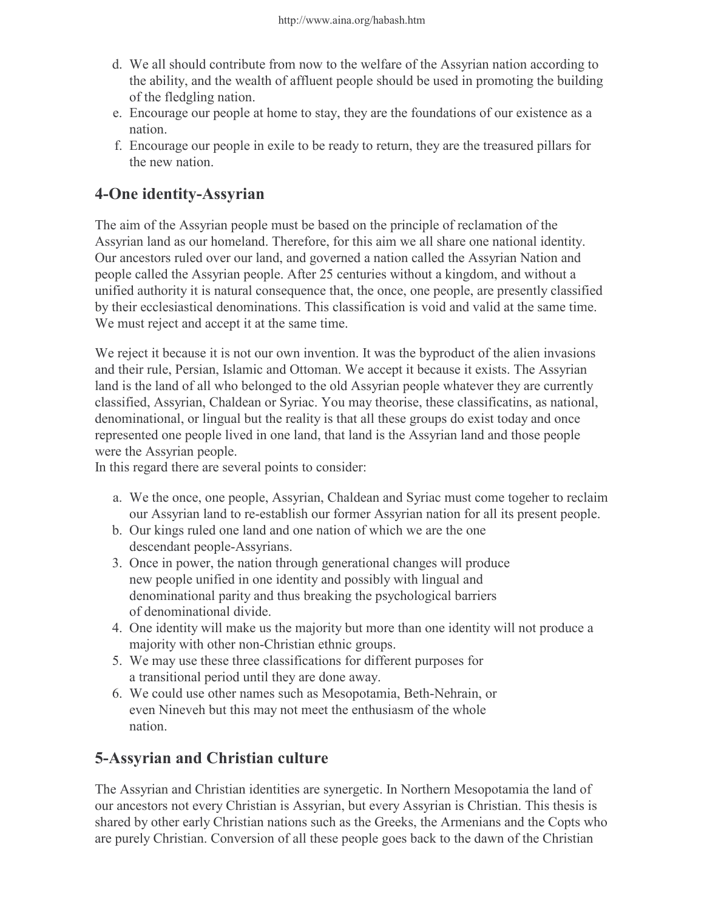- We all should contribute from now to the welfare of the Assyrian nation according to d. the ability, and the wealth of affluent people should be used in promoting the building of the fledgling nation.
- e. Encourage our people at home to stay, they are the foundations of our existence as a nation.
- Encourage our people in exile to be ready to return, they are the treasured pillars for f. the new nation.

# 4-One identity-Assyrian

The aim of the Assyrian people must be based on the principle of reclamation of the Assyrian land as our homeland. Therefore, for this aim we all share one national identity. Our ancestors ruled over our land, and governed a nation called the Assyrian Nation and people called the Assyrian people. After 25 centuries without a kingdom, and without a unified authority it is natural consequence that, the once, one people, are presently classified by their ecclesiastical denominations. This classification is void and valid at the same time. We must reject and accept it at the same time.

We reject it because it is not our own invention. It was the byproduct of the alien invasions and their rule, Persian, Islamic and Ottoman. We accept it because it exists. The Assyrian land is the land of all who belonged to the old Assyrian people whatever they are currently classified, Assyrian, Chaldean or Syriac. You may theorise, these classificatins, as national, denominational, or lingual but the reality is that all these groups do exist today and once represented one people lived in one land, that land is the Assyrian land and those people were the Assyrian people.

In this regard there are several points to consider:

- We the once, one people, Assyrian, Chaldean and Syriac must come togeher to reclaim a. our Assyrian land to re-establish our former Assyrian nation for all its present people.
- b. Our kings ruled one land and one nation of which we are the one descendant people-Assyrians.
- 3. Once in power, the nation through generational changes will produce new people unified in one identity and possibly with lingual and denominational parity and thus breaking the psychological barriers of denominational divide.
- One identity will make us the majority but more than one identity will not produce a 4. majority with other non-Christian ethnic groups.
- We may use these three classifications for different purposes for 5. a transitional period until they are done away.
- We could use other names such as Mesopotamia, Beth-Nehrain, or 6. even Nineveh but this may not meet the enthusiasm of the whole nation.

## 5-Assyrian and Christian culture

The Assyrian and Christian identities are synergetic. In Northern Mesopotamia the land of our ancestors not every Christian is Assyrian, but every Assyrian is Christian. This thesis is shared by other early Christian nations such as the Greeks, the Armenians and the Copts who are purely Christian. Conversion of all these people goes back to the dawn of the Christian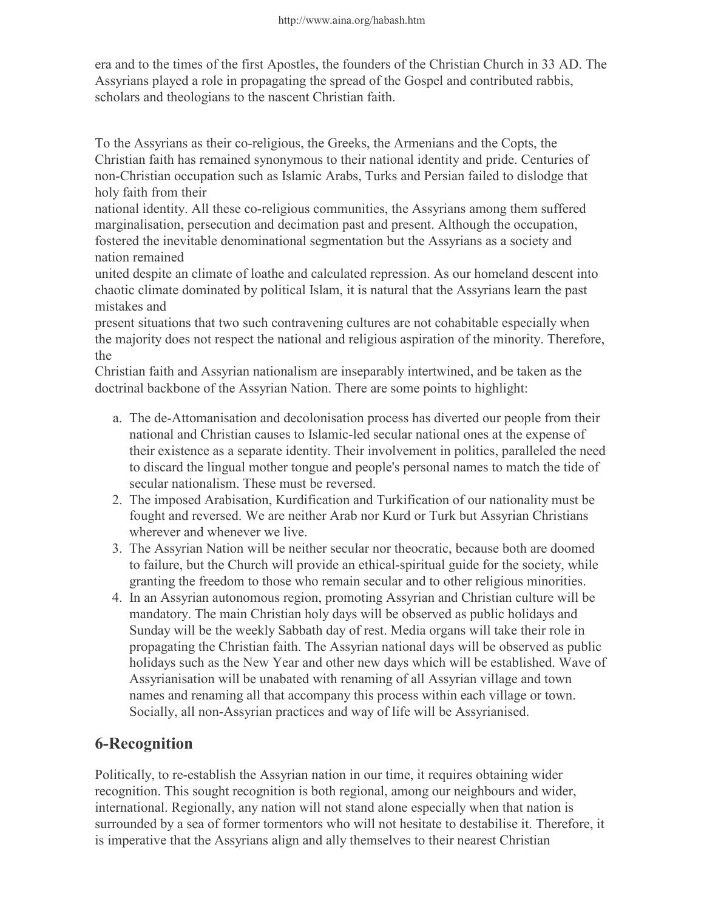era and to the times of the first Apostles, the founders of the Christian Church in 33 AD. The Assyrians played a role in propagating the spread of the Gospel and contributed rabbis, scholars and theologians to the nascent Christian faith.

To the Assyrians as their co-religious, the Greeks, the Armenians and the Copts, the Christian faith has remained synonymous to their national identity and pride. Centuries of non-Christian occupation such as Islamic Arabs, Turks and Persian failed to dislodge that holy faith from their

national identity. All these co-religious communities, the Assyrians among them suffered marginalisation, persecution and decimation past and present. Although the occupation, fostered the inevitable denominational segmentation but the Assyrians as a society and nation remained

united despite an climate of loathe and calculated repression. As our homeland descent into chaotic climate dominated by political Islam, it is natural that the Assyrians learn the past mistakes and

present situations that two such contravening cultures are not cohabitable especially when the majority does not respect the national and religious aspiration of the minority. Therefore, the

Christian faith and Assyrian nationalism are inseparably intertwined, and be taken as the doctrinal backbone of the Assyrian Nation. There are some points to highlight:

- The de-Attomanisation and decolonisation process has diverted our people from their a. national and Christian causes to Islamic-led secular national ones at the expense of their existence as a separate identity. Their involvement in politics, paralleled the need to discard the lingual mother tongue and people's personal names to match the tide of secular nationalism. These must be reversed.
- 2. The imposed Arabisation, Kurdification and Turkification of our nationality must be fought and reversed. We are neither Arab nor Kurd or Turk but Assyrian Christians wherever and whenever we live.
- The Assyrian Nation will be neither secular nor theocratic, because both are doomed 3. to failure, but the Church will provide an ethical-spiritual guide for the society, while granting the freedom to those who remain secular and to other religious minorities.
- 4. In an Assyrian autonomous region, promoting Assyrian and Christian culture will be mandatory. The main Christian holy days will be observed as public holidays and Sunday will be the weekly Sabbath day of rest. Media organs will take their role in propagating the Christian faith. The Assyrian national days will be observed as public holidays such as the New Year and other new days which will be established. Wave of Assyrianisation will be unabated with renaming of all Assyrian village and town names and renaming all that accompany this process within each village or town. Socially, all non-Assyrian practices and way of life will be Assyrianised.

# 6-Recognition

Politically, to re-establish the Assyrian nation in our time, it requires obtaining wider recognition. This sought recognition is both regional, among our neighbours and wider, international. Regionally, any nation will not stand alone especially when that nation is surrounded by a sea of former tormentors who will not hesitate to destabilise it. Therefore, it is imperative that the Assyrians align and ally themselves to their nearest Christian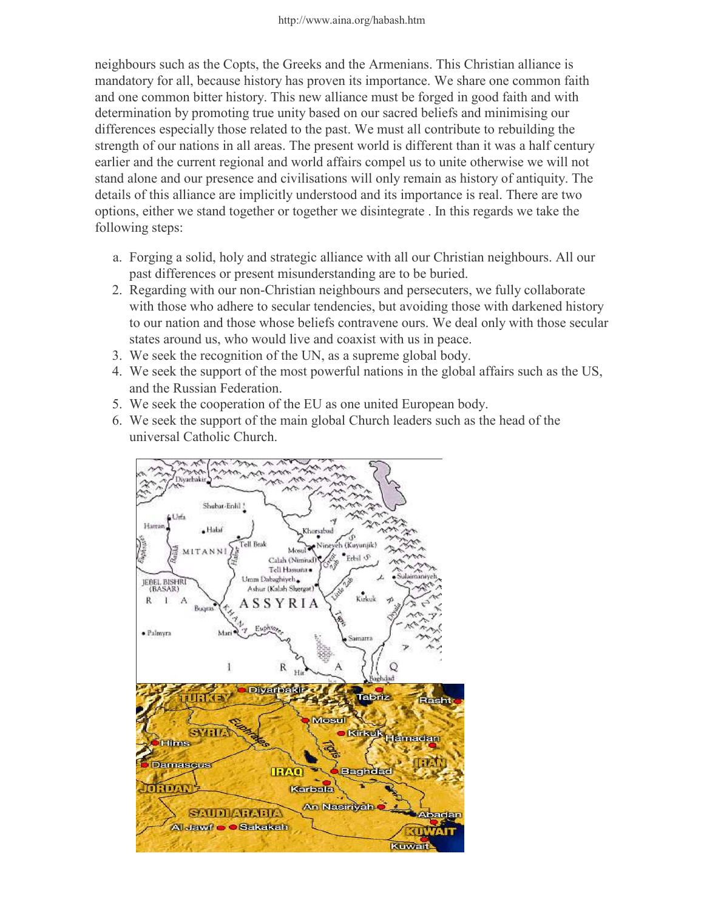neighbours such as the Copts, the Greeks and the Armenians. This Christian alliance is mandatory for all, because history has proven its importance. We share one common faith and one common bitter history. This new alliance must be forged in good faith and with determination by promoting true unity based on our sacred beliefs and minimising our differences especially those related to the past. We must all contribute to rebuilding the strength of our nations in all areas. The present world is different than it was a half century earlier and the current regional and world affairs compel us to unite otherwise we will not stand alone and our presence and civilisations will only remain as history of antiquity. The details of this alliance are implicitly understood and its importance is real. There are two options, either we stand together or together we disintegrate . In this regards we take the following steps:

- Forging a solid, holy and strategic alliance with all our Christian neighbours. All our a. past differences or present misunderstanding are to be buried.
- 2. Regarding with our non-Christian neighbours and persecuters, we fully collaborate with those who adhere to secular tendencies, but avoiding those with darkened history to our nation and those whose beliefs contravene ours. We deal only with those secular states around us, who would live and coaxist with us in peace.
- 3. We seek the recognition of the UN, as a supreme global body.
- We seek the support of the most powerful nations in the global affairs such as the US, 4. and the Russian Federation.
- 5. We seek the cooperation of the EU as one united European body.
- We seek the support of the main global Church leaders such as the head of the 6.universal Catholic Church.